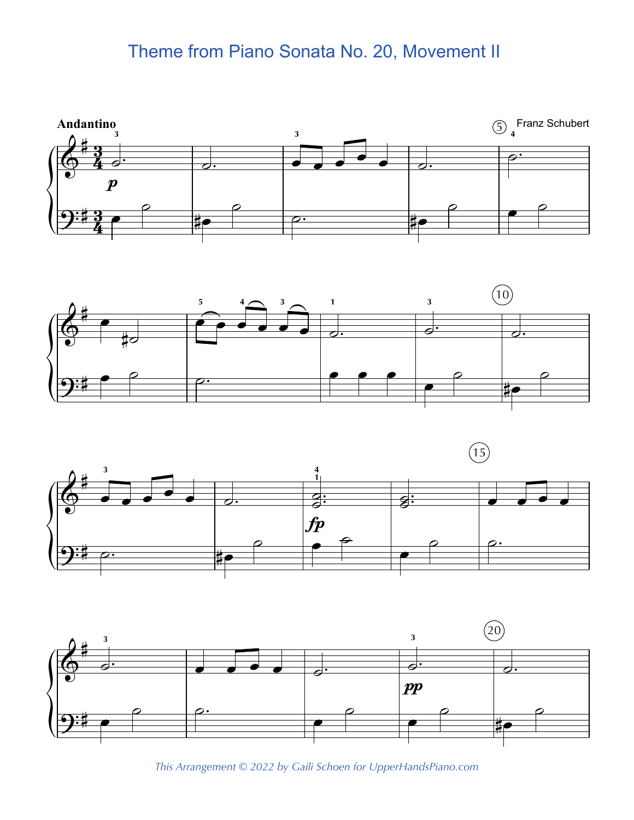## Theme from Piano Sonata No. 20, Movement II









This Arrangement © 2022 by Gaili Schoen for UpperHandsPiano.com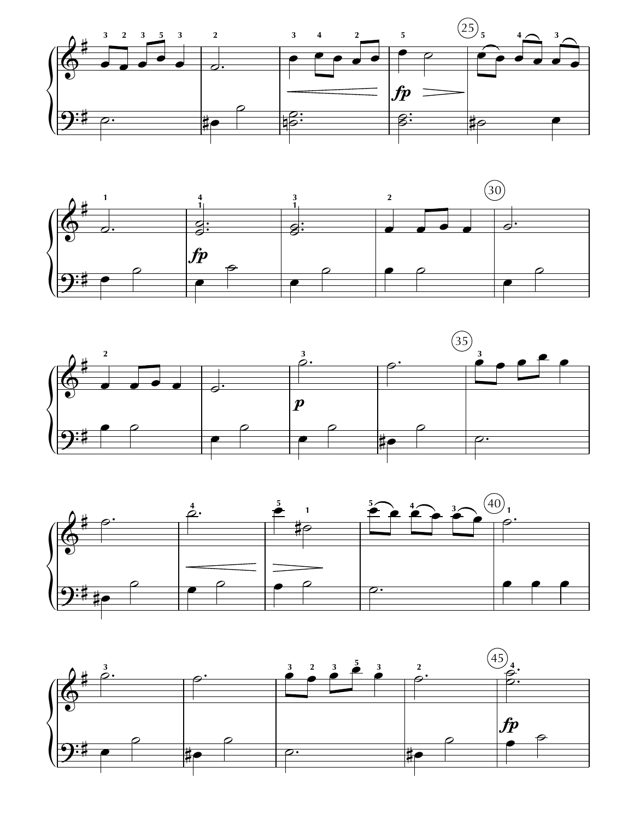